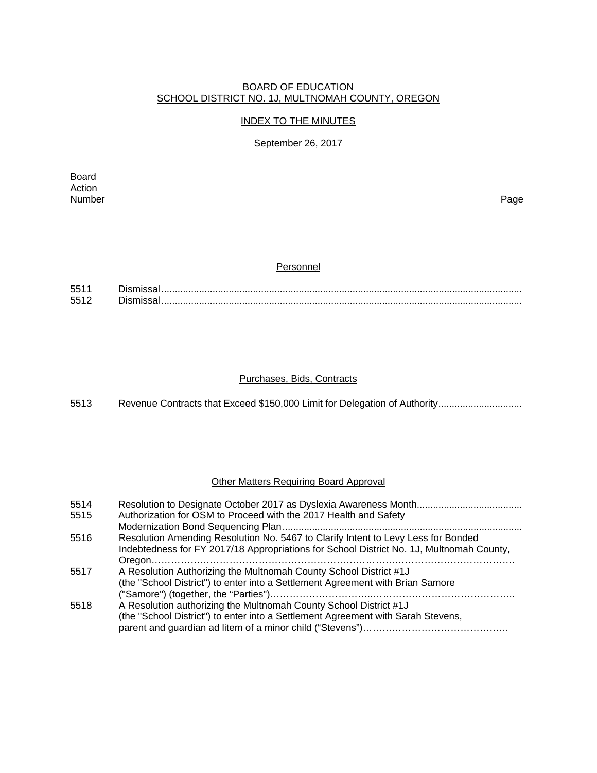## BOARD OF EDUCATION SCHOOL DISTRICT NO. 1J, MULTNOMAH COUNTY, OREGON

### INDEX TO THE MINUTES

## September 26, 2017

Board Action<br>Number Number Page

#### **Personnel**

| <b>EE1</b> |  |
|------------|--|
| 551        |  |

#### Purchases, Bids, Contracts

5513 Revenue Contracts that Exceed \$150,000 Limit for Delegation of Authority................................

## Other Matters Requiring Board Approval

| 5514 |                                                                                          |
|------|------------------------------------------------------------------------------------------|
| 5515 | Authorization for OSM to Proceed with the 2017 Health and Safety                         |
|      |                                                                                          |
| 5516 | Resolution Amending Resolution No. 5467 to Clarify Intent to Levy Less for Bonded        |
|      | Indebtedness for FY 2017/18 Appropriations for School District No. 1J, Multnomah County, |
|      |                                                                                          |
| 5517 | A Resolution Authorizing the Multnomah County School District #1J                        |
|      | (the "School District") to enter into a Settlement Agreement with Brian Samore           |
|      |                                                                                          |
| 5518 | A Resolution authorizing the Multnomah County School District #1J                        |
|      | (the "School District") to enter into a Settlement Agreement with Sarah Stevens,         |
|      |                                                                                          |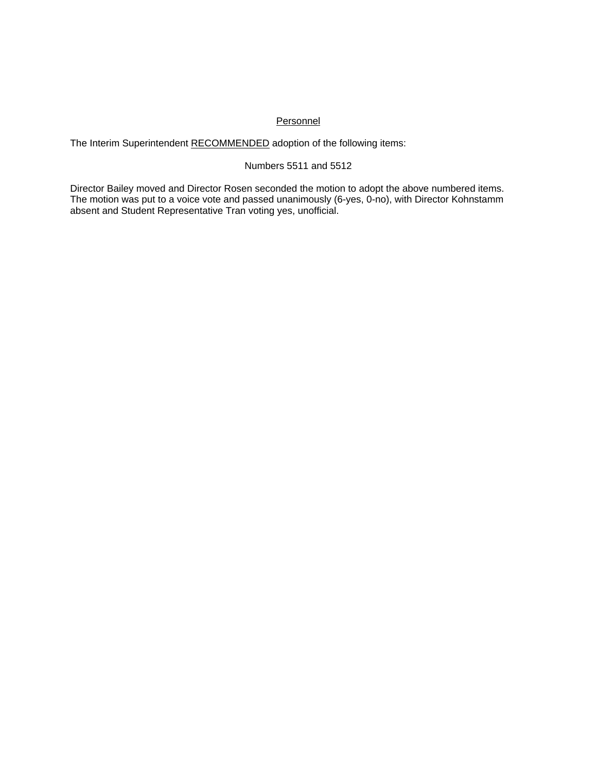## **Personnel**

The Interim Superintendent RECOMMENDED adoption of the following items:

### Numbers 5511 and 5512

Director Bailey moved and Director Rosen seconded the motion to adopt the above numbered items. The motion was put to a voice vote and passed unanimously (6-yes, 0-no), with Director Kohnstamm absent and Student Representative Tran voting yes, unofficial.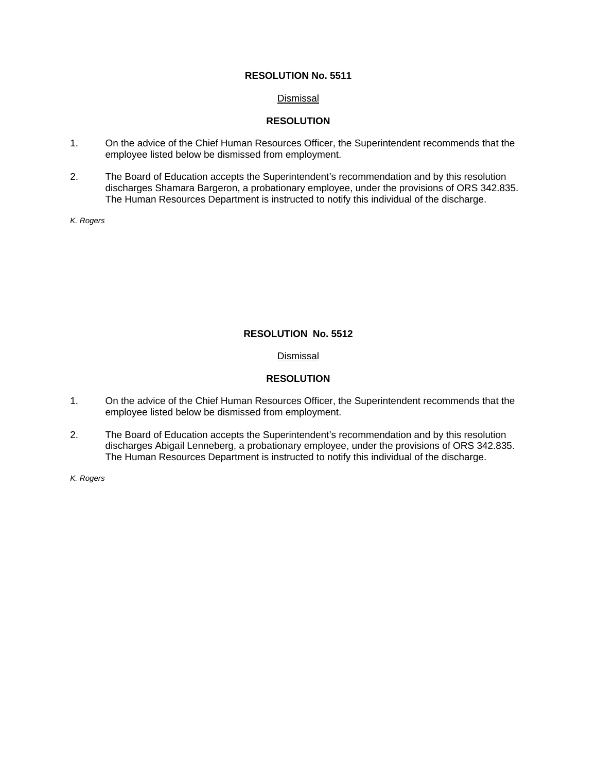### Dismissal

## **RESOLUTION**

- 1. On the advice of the Chief Human Resources Officer, the Superintendent recommends that the employee listed below be dismissed from employment.
- 2. The Board of Education accepts the Superintendent's recommendation and by this resolution discharges Shamara Bargeron, a probationary employee, under the provisions of ORS 342.835. The Human Resources Department is instructed to notify this individual of the discharge.

*K. Rogers* 

## **RESOLUTION No. 5512**

## **Dismissal**

# **RESOLUTION**

- 1. On the advice of the Chief Human Resources Officer, the Superintendent recommends that the employee listed below be dismissed from employment.
- 2. The Board of Education accepts the Superintendent's recommendation and by this resolution discharges Abigail Lenneberg, a probationary employee, under the provisions of ORS 342.835. The Human Resources Department is instructed to notify this individual of the discharge.

*K. Rogers*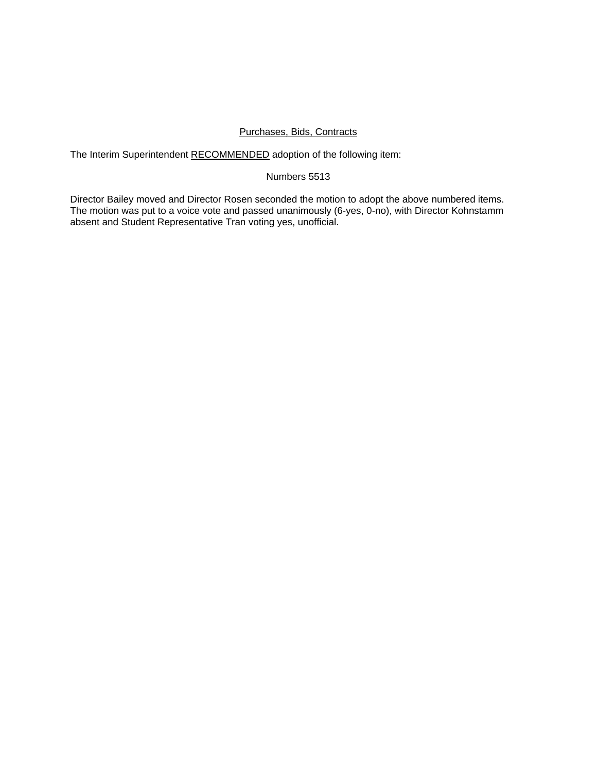#### Purchases, Bids, Contracts

The Interim Superintendent RECOMMENDED adoption of the following item:

#### Numbers 5513

Director Bailey moved and Director Rosen seconded the motion to adopt the above numbered items. The motion was put to a voice vote and passed unanimously (6-yes, 0-no), with Director Kohnstamm absent and Student Representative Tran voting yes, unofficial.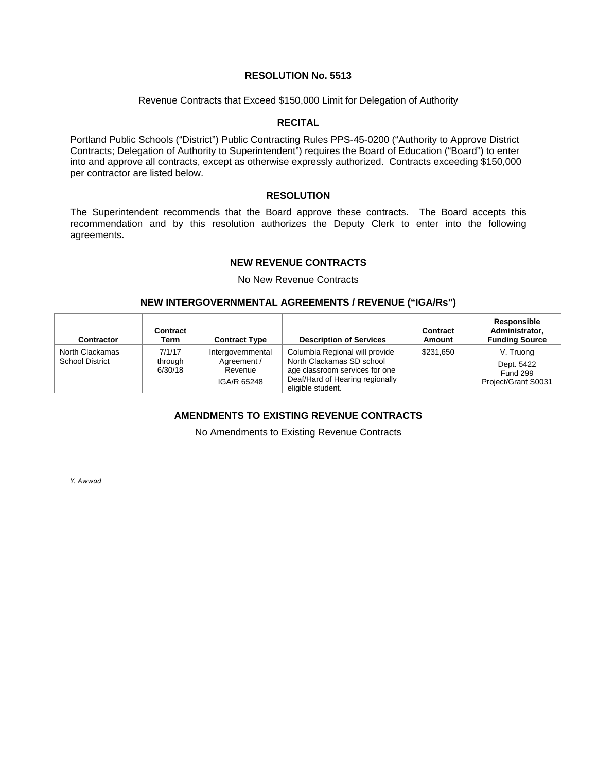#### Revenue Contracts that Exceed \$150,000 Limit for Delegation of Authority

### **RECITAL**

Portland Public Schools ("District") Public Contracting Rules PPS-45-0200 ("Authority to Approve District Contracts; Delegation of Authority to Superintendent") requires the Board of Education ("Board") to enter into and approve all contracts, except as otherwise expressly authorized. Contracts exceeding \$150,000 per contractor are listed below.

### **RESOLUTION**

The Superintendent recommends that the Board approve these contracts. The Board accepts this recommendation and by this resolution authorizes the Deputy Clerk to enter into the following agreements.

## **NEW REVENUE CONTRACTS**

No New Revenue Contracts

# **NEW INTERGOVERNMENTAL AGREEMENTS / REVENUE ("IGA/Rs")**

| Contractor                                | Contract<br>Term             | <b>Contract Type</b>                                       | <b>Description of Services</b>                                                                                                                        | Contract<br>Amount | Responsible<br>Administrator,<br><b>Funding Source</b>            |
|-------------------------------------------|------------------------------|------------------------------------------------------------|-------------------------------------------------------------------------------------------------------------------------------------------------------|--------------------|-------------------------------------------------------------------|
| North Clackamas<br><b>School District</b> | 7/1/17<br>through<br>6/30/18 | Intergovernmental<br>Agreement /<br>Revenue<br>IGA/R 65248 | Columbia Regional will provide<br>North Clackamas SD school<br>age classroom services for one<br>Deaf/Hard of Hearing regionally<br>eligible student. | \$231,650          | V. Truong<br>Dept. 5422<br><b>Fund 299</b><br>Project/Grant S0031 |

# **AMENDMENTS TO EXISTING REVENUE CONTRACTS**

No Amendments to Existing Revenue Contracts

*Y. Awwad*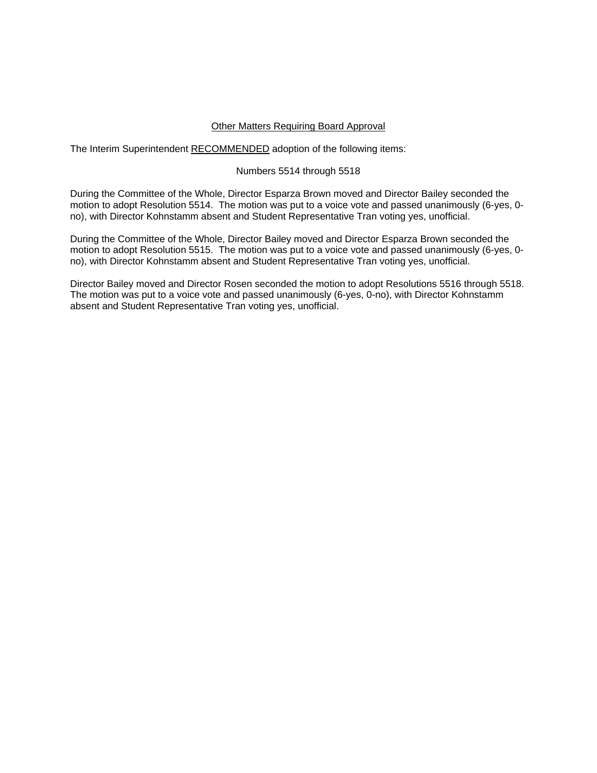### Other Matters Requiring Board Approval

The Interim Superintendent RECOMMENDED adoption of the following items:

### Numbers 5514 through 5518

During the Committee of the Whole, Director Esparza Brown moved and Director Bailey seconded the motion to adopt Resolution 5514. The motion was put to a voice vote and passed unanimously (6-yes, 0 no), with Director Kohnstamm absent and Student Representative Tran voting yes, unofficial.

During the Committee of the Whole, Director Bailey moved and Director Esparza Brown seconded the motion to adopt Resolution 5515. The motion was put to a voice vote and passed unanimously (6-yes, 0 no), with Director Kohnstamm absent and Student Representative Tran voting yes, unofficial.

Director Bailey moved and Director Rosen seconded the motion to adopt Resolutions 5516 through 5518. The motion was put to a voice vote and passed unanimously (6-yes, 0-no), with Director Kohnstamm absent and Student Representative Tran voting yes, unofficial.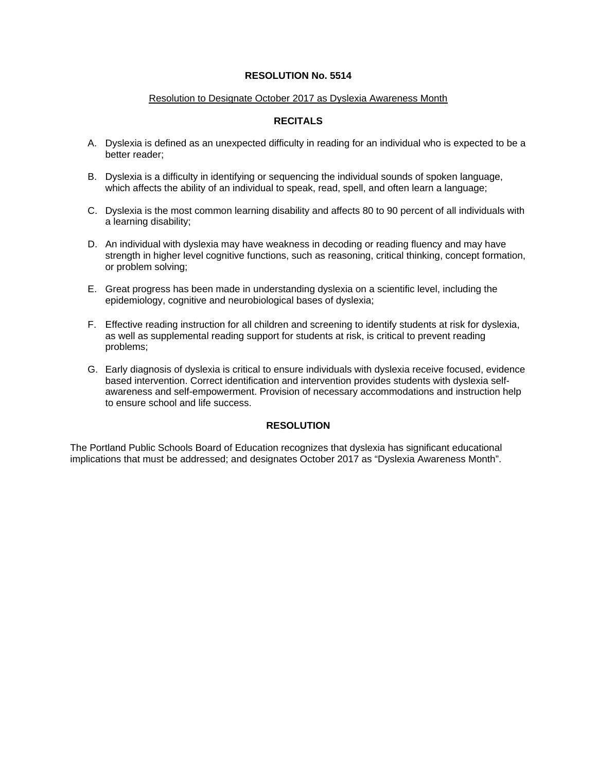#### Resolution to Designate October 2017 as Dyslexia Awareness Month

## **RECITALS**

- A. Dyslexia is defined as an unexpected difficulty in reading for an individual who is expected to be a better reader;
- B. Dyslexia is a difficulty in identifying or sequencing the individual sounds of spoken language, which affects the ability of an individual to speak, read, spell, and often learn a language;
- C. Dyslexia is the most common learning disability and affects 80 to 90 percent of all individuals with a learning disability;
- D. An individual with dyslexia may have weakness in decoding or reading fluency and may have strength in higher level cognitive functions, such as reasoning, critical thinking, concept formation, or problem solving;
- E. Great progress has been made in understanding dyslexia on a scientific level, including the epidemiology, cognitive and neurobiological bases of dyslexia;
- F. Effective reading instruction for all children and screening to identify students at risk for dyslexia, as well as supplemental reading support for students at risk, is critical to prevent reading problems;
- G. Early diagnosis of dyslexia is critical to ensure individuals with dyslexia receive focused, evidence based intervention. Correct identification and intervention provides students with dyslexia selfawareness and self-empowerment. Provision of necessary accommodations and instruction help to ensure school and life success.

#### **RESOLUTION**

The Portland Public Schools Board of Education recognizes that dyslexia has significant educational implications that must be addressed; and designates October 2017 as "Dyslexia Awareness Month".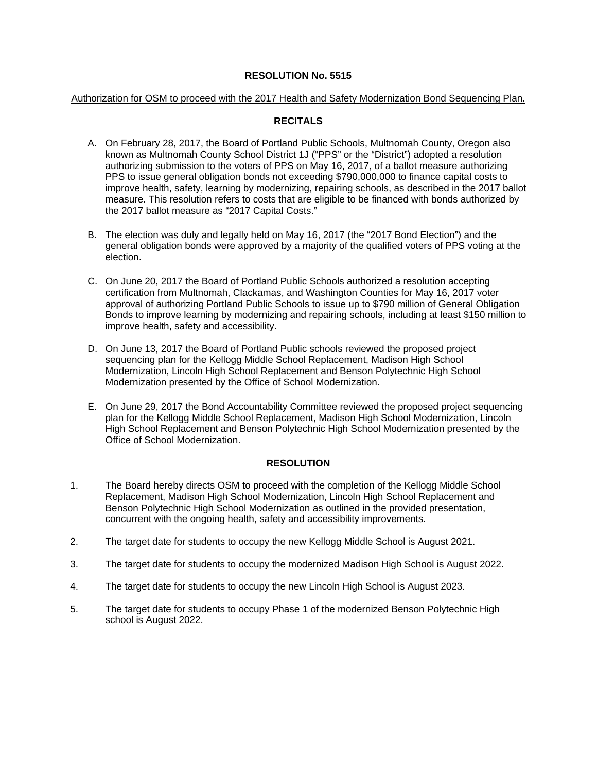#### Authorization for OSM to proceed with the 2017 Health and Safety Modernization Bond Sequencing Plan.

# **RECITALS**

- A. On February 28, 2017, the Board of Portland Public Schools, Multnomah County, Oregon also known as Multnomah County School District 1J ("PPS" or the "District") adopted a resolution authorizing submission to the voters of PPS on May 16, 2017, of a ballot measure authorizing PPS to issue general obligation bonds not exceeding \$790,000,000 to finance capital costs to improve health, safety, learning by modernizing, repairing schools, as described in the 2017 ballot measure. This resolution refers to costs that are eligible to be financed with bonds authorized by the 2017 ballot measure as "2017 Capital Costs."
- B. The election was duly and legally held on May 16, 2017 (the "2017 Bond Election") and the general obligation bonds were approved by a majority of the qualified voters of PPS voting at the election.
- C. On June 20, 2017 the Board of Portland Public Schools authorized a resolution accepting certification from Multnomah, Clackamas, and Washington Counties for May 16, 2017 voter approval of authorizing Portland Public Schools to issue up to \$790 million of General Obligation Bonds to improve learning by modernizing and repairing schools, including at least \$150 million to improve health, safety and accessibility.
- D. On June 13, 2017 the Board of Portland Public schools reviewed the proposed project sequencing plan for the Kellogg Middle School Replacement, Madison High School Modernization, Lincoln High School Replacement and Benson Polytechnic High School Modernization presented by the Office of School Modernization.
- E. On June 29, 2017 the Bond Accountability Committee reviewed the proposed project sequencing plan for the Kellogg Middle School Replacement, Madison High School Modernization, Lincoln High School Replacement and Benson Polytechnic High School Modernization presented by the Office of School Modernization.

## **RESOLUTION**

- 1. The Board hereby directs OSM to proceed with the completion of the Kellogg Middle School Replacement, Madison High School Modernization, Lincoln High School Replacement and Benson Polytechnic High School Modernization as outlined in the provided presentation, concurrent with the ongoing health, safety and accessibility improvements.
- 2. The target date for students to occupy the new Kellogg Middle School is August 2021.
- 3. The target date for students to occupy the modernized Madison High School is August 2022.
- 4. The target date for students to occupy the new Lincoln High School is August 2023.
- 5. The target date for students to occupy Phase 1 of the modernized Benson Polytechnic High school is August 2022.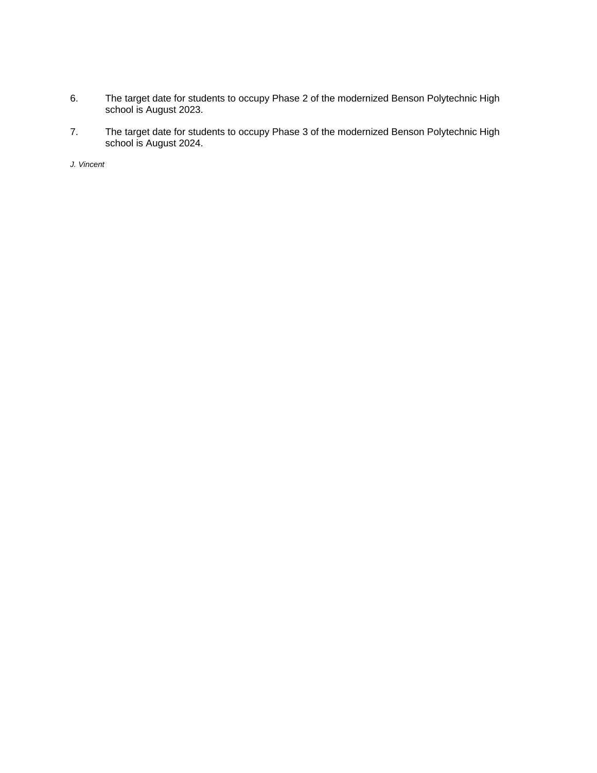- 6. The target date for students to occupy Phase 2 of the modernized Benson Polytechnic High school is August 2023.
- 7. The target date for students to occupy Phase 3 of the modernized Benson Polytechnic High school is August 2024.

*J. Vincent*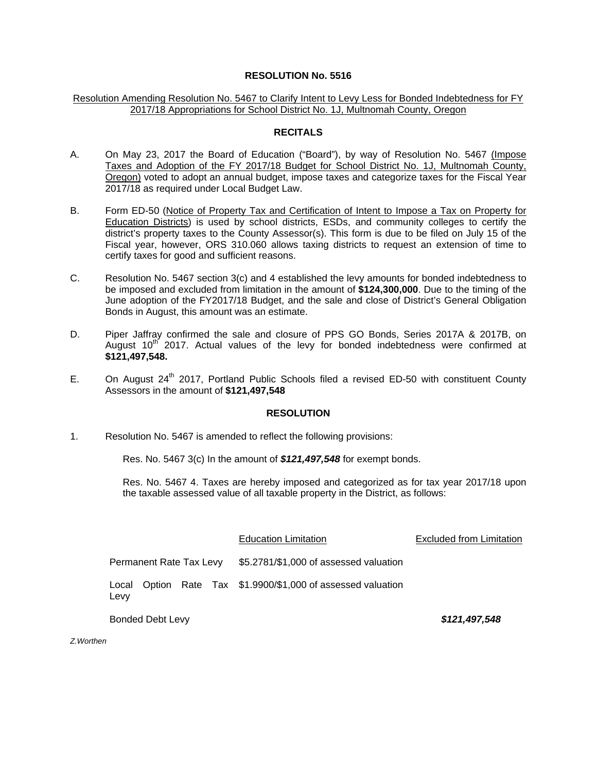### Resolution Amending Resolution No. 5467 to Clarify Intent to Levy Less for Bonded Indebtedness for FY 2017/18 Appropriations for School District No. 1J, Multnomah County, Oregon

#### **RECITALS**

- A. On May 23, 2017 the Board of Education ("Board"), by way of Resolution No. 5467 (Impose Taxes and Adoption of the FY 2017/18 Budget for School District No. 1J, Multnomah County, Oregon) voted to adopt an annual budget, impose taxes and categorize taxes for the Fiscal Year 2017/18 as required under Local Budget Law.
- B. Form ED-50 (Notice of Property Tax and Certification of Intent to Impose a Tax on Property for Education Districts) is used by school districts, ESDs, and community colleges to certify the district's property taxes to the County Assessor(s). This form is due to be filed on July 15 of the Fiscal year, however, ORS 310.060 allows taxing districts to request an extension of time to certify taxes for good and sufficient reasons.
- C. Resolution No. 5467 section 3(c) and 4 established the levy amounts for bonded indebtedness to be imposed and excluded from limitation in the amount of **\$124,300,000**. Due to the timing of the June adoption of the FY2017/18 Budget, and the sale and close of District's General Obligation Bonds in August, this amount was an estimate.
- D. Piper Jaffray confirmed the sale and closure of PPS GO Bonds, Series 2017A & 2017B, on August  $10<sup>th</sup>$  2017. Actual values of the levy for bonded indebtedness were confirmed at **\$121,497,548.**
- E. On August  $24<sup>th</sup>$  2017, Portland Public Schools filed a revised ED-50 with constituent County Assessors in the amount of **\$121,497,548**

### **RESOLUTION**

1. Resolution No. 5467 is amended to reflect the following provisions:

Res. No. 5467 3(c) In the amount of *\$121,497,548* for exempt bonds.

Res. No. 5467 4. Taxes are hereby imposed and categorized as for tax year 2017/18 upon the taxable assessed value of all taxable property in the District, as follows:

|                         |  |  | <b>Education Limitation</b>                                  | <b>Excluded from Limitation</b> |
|-------------------------|--|--|--------------------------------------------------------------|---------------------------------|
| Permanent Rate Tax Levy |  |  | \$5.2781/\$1,000 of assessed valuation                       |                                 |
| Levy                    |  |  | Local Option Rate Tax \$1.9900/\$1,000 of assessed valuation |                                 |

Bonded Debt Levy *\$121,497,548*

*Z.Worthen*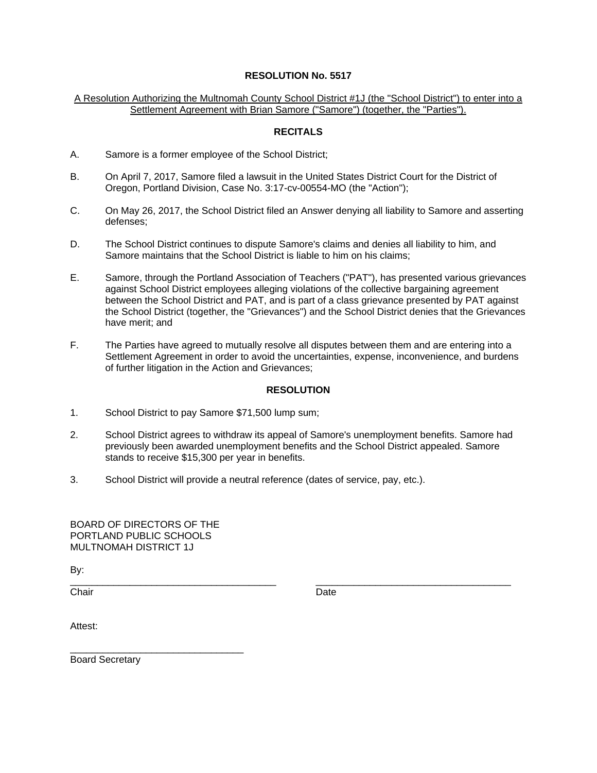A Resolution Authorizing the Multnomah County School District #1J (the "School District") to enter into a Settlement Agreement with Brian Samore ("Samore") (together, the "Parties").

## **RECITALS**

- A. Samore is a former employee of the School District;
- B. On April 7, 2017, Samore filed a lawsuit in the United States District Court for the District of Oregon, Portland Division, Case No. 3:17-cv-00554-MO (the "Action");
- C. On May 26, 2017, the School District filed an Answer denying all liability to Samore and asserting defenses;
- D. The School District continues to dispute Samore's claims and denies all liability to him, and Samore maintains that the School District is liable to him on his claims;
- E. Samore, through the Portland Association of Teachers ("PAT"), has presented various grievances against School District employees alleging violations of the collective bargaining agreement between the School District and PAT, and is part of a class grievance presented by PAT against the School District (together, the "Grievances") and the School District denies that the Grievances have merit; and
- F. The Parties have agreed to mutually resolve all disputes between them and are entering into a Settlement Agreement in order to avoid the uncertainties, expense, inconvenience, and burdens of further litigation in the Action and Grievances;

## **RESOLUTION**

- 1. School District to pay Samore \$71,500 lump sum;
- 2. School District agrees to withdraw its appeal of Samore's unemployment benefits. Samore had previously been awarded unemployment benefits and the School District appealed. Samore stands to receive \$15,300 per year in benefits.

\_\_\_\_\_\_\_\_\_\_\_\_\_\_\_\_\_\_\_\_\_\_\_\_\_\_\_\_\_\_\_\_\_\_\_\_\_\_ \_\_\_\_\_\_\_\_\_\_\_\_\_\_\_\_\_\_\_\_\_\_\_\_\_\_\_\_\_\_\_\_\_\_\_\_

3. School District will provide a neutral reference (dates of service, pay, etc.).

BOARD OF DIRECTORS OF THE PORTLAND PUBLIC SCHOOLS MULTNOMAH DISTRICT 1J

\_\_\_\_\_\_\_\_\_\_\_\_\_\_\_\_\_\_\_\_\_\_\_\_\_\_\_\_\_\_\_\_

By:

Chair **Date** 

Attest:

Board Secretary